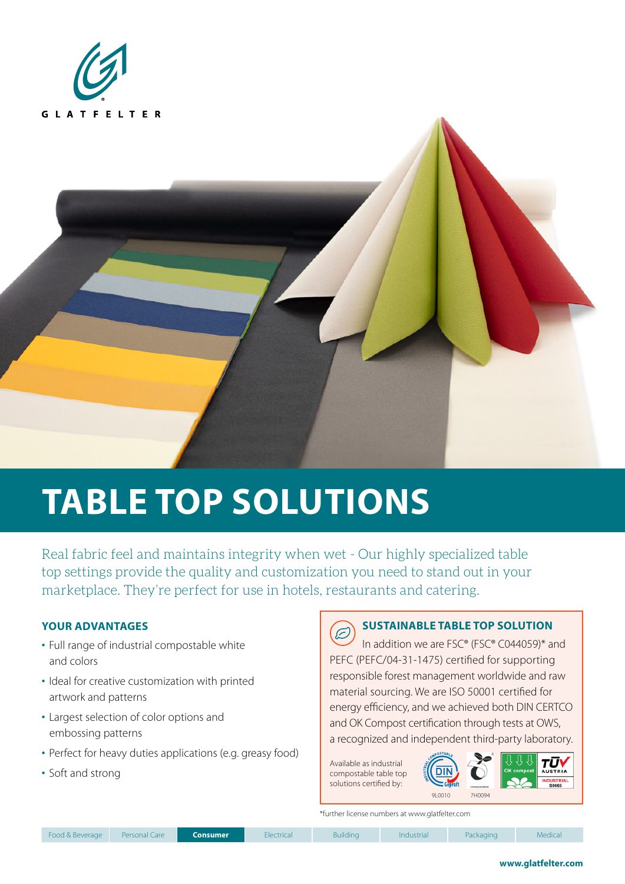



# **TABLE TOP SOLUTIONS**

Real fabric feel and maintains integrity when wet - Our highly specialized table top settings provide the quality and customization you need to stand out in your marketplace. They're perfect for use in hotels, restaurants and catering.

### **YOUR ADVANTAGES**

- Full range of industrial compostable white and colors
- Ideal for creative customization with printed artwork and patterns
- Largest selection of color options and embossing patterns
- Perfect for heavy duties applications (e.g. greasy food)
- Soft and strong

## **SUSTAINABLE TABLE TOP SOLUTION**

T In addition we are FSC® (FSC® C044059)\* and PEFC (PEFC/04-31-1475) certified for supporting responsible forest management worldwide and raw material sourcing. We are ISO 50001 certified for energy efficiency, and we achieved both DIN CERTCO and OK Compost certification through tests at OWS, a recognized and independent third-party laboratory.

Available as industrial compostable table top solutions certified by:



\*further license numbers at www.glatfelter.com